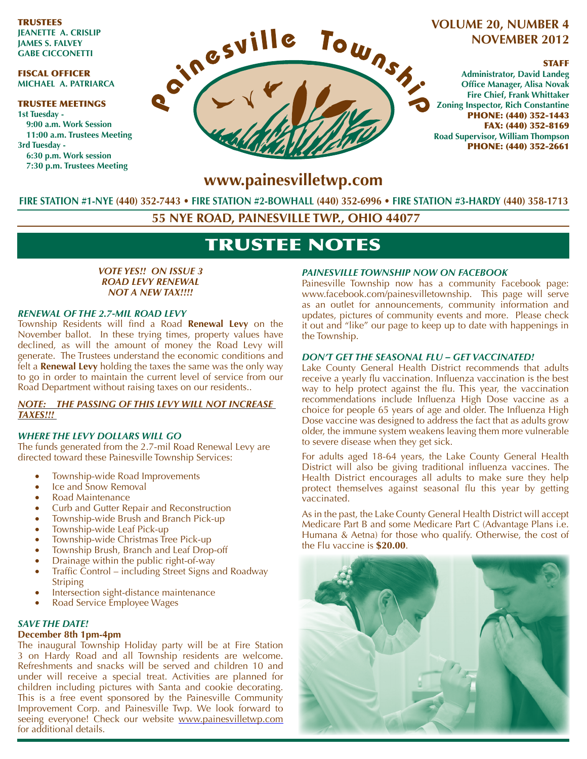TRUSTEES **JEANETTE A. CRISLIP JAMES S. FALVEY GABE CICCONETTI**

### FISCAL OFFICER **MICHAEL A. PATRIARCA**

#### TRUSTEE MEETINGS **1st Tuesday - 9:00 a.m. Work Session 11:00 a.m. Trustees Meeting 3rd Tuesday - 6:30 p.m. Work session 7:30 p.m. Trustees Meeting**



### **VOLUME 20, NUMBER 4 NOVEMBER 2012**

### STAFF

**Administrator, David Landeg 6Hice Manager, Alisa Novak Fire Chief, Frank Whittaker Zoning Inspector, Rich Constantine** PHONE: (440) 352-1443 FAX: (440) 352-8169 **Road Supervisor, William Thompson** PHONE: (440) 352-2661

### www.painesvilletwp.com

**FIRE STATION #1-NYE (440) 352-7443FIRE STATION #2-BOWHALL FIRE STATION #3-HARDY** 

**55 NYE ROAD, PAINESVILLE TWP., OHIO 44077**

# TRUSTEE NOTES

### *VOTE YES!! ON ISSUE 3 ROAD LEVY RENEWAL NOT A NEW TAX!!!!*

### *RENEWAL OF THE 2.7-MIL ROAD LEVY*

Township Residents will find a Road **Renewal Levy** on the November ballot. In these trying times, property values have declined, as will the amount of money the Road Levy will generate. The Trustees understand the economic conditions and felt a **Renewal Levy** holding the taxes the same was the only way to go in order to maintain the current level of service from our Road Department without raising taxes on our residents..

### *NOTE: THE PASSING OF THIS LEVY WILL NOT INCREASE TAXES!!!*

### *WHERE THE LEVY DOLLARS WILL GO*

The funds generated from the 2.7-mil Road Renewal Levy are directed toward these Painesville Township Services:

- Township-wide Road Improvements
- Ice and Snow Removal
- Road Maintenance
- Curb and Gutter Repair and Reconstruction
- Township-wide Brush and Branch Pick-up
- Township-wide Leaf Pick-up
- Township-wide Christmas Tree Pick-up
- Township Brush, Branch and Leaf Drop-off
- Drainage within the public right-of-way
- Traffic Control including Street Signs and Roadway **Striping**
- Intersection sight-distance maintenance
- Road Service Employee Wages

### *SAVE THE DATE!*

### **December 8th 1pm-4pm**

The inaugural Township Holiday party will be at Fire Station 3 on Hardy Road and all Township residents are welcome. Refreshments and snacks will be served and children 10 and under will receive a special treat. Activities are planned for children including pictures with Santa and cookie decorating. This is a free event sponsored by the Painesville Community Improvement Corp. and Painesville Twp. We look forward to seeing everyone! Check our website www.painesvilletwp.com for additional details.

### *PAINESVILLE TOWNSHIP NOW ON FACEBOOK*

Painesville Township now has a community Facebook page: www.facebook.com/painesvilletownship. This page will serve as an outlet for announcements, community information and updates, pictures of community events and more. Please check it out and "like" our page to keep up to date with happenings in the Township.

### *DON'T GET THE SEASONAL FLU – GET VACCINATED!*

Lake County General Health District recommends that adults receive a yearly flu vaccination. Influenza vaccination is the best way to help protect against the flu. This year, the vaccination recommendations include Influenza High Dose vaccine as a choice for people 65 years of age and older. The Influenza High Dose vaccine was designed to address the fact that as adults grow older, the immune system weakens leaving them more vulnerable to severe disease when they get sick.

For adults aged 18-64 years, the Lake County General Health District will also be giving traditional influenza vaccines. The Health District encourages all adults to make sure they help protect themselves against seasonal flu this year by getting vaccinated.

As in the past, the Lake County General Health District will accept Medicare Part B and some Medicare Part C (Advantage Plans i.e. Humana & Aetna) for those who qualify. Otherwise, the cost of the Flu vaccine is **\$20.00**.

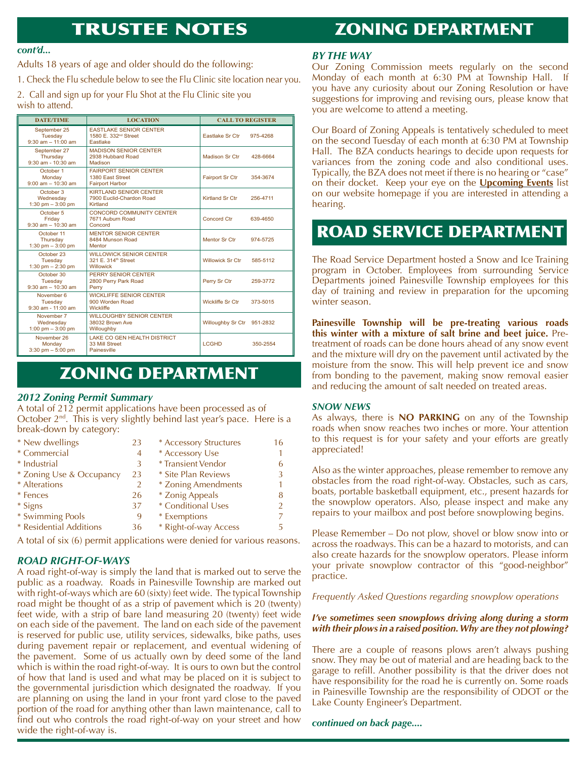# TRUSTEE NOTES

## ZONING DEPARTMENT

#### *cont'd...*

Adults 18 years of age and older should do the following:

1. Check the Flu schedule below to see the Flu Clinic site location near you.

2. Call and sign up for your Flu Shot at the Flu Clinic site you wish to attend.

| <b>DATE/TIME</b>                                   | <b>LOCATION</b>                                                                | <b>CALL TO REGISTER</b>    |          |
|----------------------------------------------------|--------------------------------------------------------------------------------|----------------------------|----------|
| September 25<br>Tuesday<br>$9:30$ am $-11:00$ am   | <b>EASTLAKE SENIOR CENTER</b><br>1580 E. 332 <sup>nd</sup> Street<br>Eastlake  | Eastlake Sr Ctr            | 975-4268 |
| September 27<br>Thursday<br>$9:30$ am - $10:30$ am | <b>MADISON SENIOR CENTER</b><br>2938 Hubbard Road<br>Madison                   | Madison Sr Ctr             | 428-6664 |
| October 1<br>Monday<br>$9:00$ am $- 10:30$ am      | <b>FAIRPORT SENIOR CENTER</b><br>1380 East Street<br><b>Fairport Harbor</b>    | <b>Fairport Sr Ctr</b>     | 354-3674 |
| October 3<br>Wednesdav<br>1:30 pm $-3:00$ pm       | KIRTLAND SENIOR CENTER<br>7900 Euclid-Chardon Road<br>Kirtland                 | Kirtland Sr Ctr            | 256-4711 |
| October 5<br>Friday<br>$9:30$ am $-10:30$ am       | CONCORD COMMUNITY CENTER<br>7671 Auburn Road<br>Concord                        | Concord Ctr                | 639-4650 |
| October 11<br>Thursday<br>1:30 pm $-3:00$ pm       | <b>MENTOR SENIOR CENTER</b><br>8484 Munson Road<br>Mentor                      | <b>Mentor Sr Ctr</b>       | 974-5725 |
| October 23<br>Tuesday<br>1:30 pm $- 2:30$ pm       | <b>WILLOWICK SENIOR CENTER</b><br>321 E. 314 <sup>th</sup> Street<br>Willowick | <b>Willowick Sr Ctr</b>    | 585-5112 |
| October 30<br>Tuesday<br>$9:30$ am $-10:30$ am     | PERRY SENIOR CENTER<br>2800 Perry Park Road<br>Perry                           | Perry Sr Ctr               | 259-3772 |
| November 6<br>Tuesday<br>$9:30$ am - 11:00 am      | <b>WICKLIFFE SENIOR CENTER</b><br>900 Worden Road<br><b>Wickliffe</b>          | Wickliffe Sr Ctr           | 373-5015 |
| November 7<br>Wednesday<br>1:00 pm $-$ 3:00 pm     | <b>WILLOUGHBY SENIOR CENTER</b><br>38032 Brown Ave<br>Willoughby               | Willoughby Sr Ctr 951-2832 |          |
| November 26<br>Monday<br>$3:30$ pm $-5:00$ pm      | <b>LAKE CO GEN HEALTH DISTRICT</b><br>33 Mill Street<br><b>Painesville</b>     | <b>LCGHD</b>               | 350-2554 |

# ZONING DEPARTMENT

### *2012 Zoning Permit Summary*

A total of 212 permit applications have been processed as of October 2<sup>nd</sup>. This is very slightly behind last year's pace. Here is a break-down by category:

| * New dwellings          | 23 | * Accessory Structures | 16            |
|--------------------------|----|------------------------|---------------|
| * Commercial             | 4  | * Accessory Use        |               |
| * Industrial             | 3  | * Transient Vendor     | 6             |
| * Zoning Use & Occupancy | 23 | * Site Plan Reviews    | 3             |
| * Alterations            | 2  | * Zoning Amendments    | 1             |
| * Fences                 | 26 | * Zonig Appeals        | 8             |
| * Signs                  | 37 | * Conditional Uses     | $\mathcal{P}$ |
| * Swimming Pools         | 9  | * Exemptions           |               |
| * Residential Additions  | 36 | * Right-of-way Access  | 5             |

A total of six (6) permit applications were denied for various reasons.

### *ROAD RIGHT-OF-WAYS*

A road right-of-way is simply the land that is marked out to serve the public as a roadway. Roads in Painesville Township are marked out with right-of-ways which are 60 (sixty) feet wide. The typical Township road might be thought of as a strip of pavement which is 20 (twenty) feet wide, with a strip of bare land measuring 20 (twenty) feet wide on each side of the pavement. The land on each side of the pavement is reserved for public use, utility services, sidewalks, bike paths, uses during pavement repair or replacement, and eventual widening of the pavement. Some of us actually own by deed some of the land which is within the road right-of-way. It is ours to own but the control of how that land is used and what may be placed on it is subject to the governmental jurisdiction which designated the roadway. If you are planning on using the land in your front yard close to the paved portion of the road for anything other than lawn maintenance, call to find out who controls the road right-of-way on your street and how wide the right-of-way is.

### *BY THE WAY*

Our Zoning Commission meets regularly on the second Monday of each month at 6:30 PM at Township Hall. If you have any curiosity about our Zoning Resolution or have suggestions for improving and revising ours, please know that you are welcome to attend a meeting.

Our Board of Zoning Appeals is tentatively scheduled to meet on the second Tuesday of each month at 6:30 PM at Township Hall. The BZA conducts hearings to decide upon requests for variances from the zoning code and also conditional uses. Typically, the BZA does not meet if there is no hearing or "case" on their docket. Keep your eye on the **Upcoming Events** list on our website homepage if you are interested in attending a hearing.

# ROAD SERVICE DEPARTMENT

The Road Service Department hosted a Snow and Ice Training program in October. Employees from surrounding Service Departments joined Painesville Township employees for this day of training and review in preparation for the upcoming winter season.

Painesville Township will be pre-treating various roads **this winter with a mixture of salt brine and beet juice.** Pretreatment of roads can be done hours ahead of any snow event and the mixture will dry on the pavement until activated by the moisture from the snow. This will help prevent ice and snow from bonding to the pavement, making snow removal easier and reducing the amount of salt needed on treated areas.

### *SNOW NEWS*

As always, there is **NO PARKING** on any of the Township roads when snow reaches two inches or more. Your attention to this request is for your safety and your efforts are greatly appreciated!

Also as the winter approaches, please remember to remove any obstacles from the road right-of-way. Obstacles, such as cars, boats, portable basketball equipment, etc., present hazards for the snowplow operators. Also, please inspect and make any repairs to your mailbox and post before snowplowing begins.

Please Remember – Do not plow, shovel or blow snow into or across the roadways. This can be a hazard to motorists, and can also create hazards for the snowplow operators. Please inform your private snowplow contractor of this "good-neighbor" practice.

### *Frequently Asked Questions regarding snowplow operations*

### *I've sometimes seen snowplows driving along during a storm with their plows in a raised position. Why are they not plowing?*

There are a couple of reasons plows aren't always pushing snow. They may be out of material and are heading back to the garage to refill. Another possibility is that the driver does not have responsibility for the road he is currently on. Some roads in Painesville Township are the responsibility of ODOT or the Lake County Engineer's Department.

### *continued on back page....*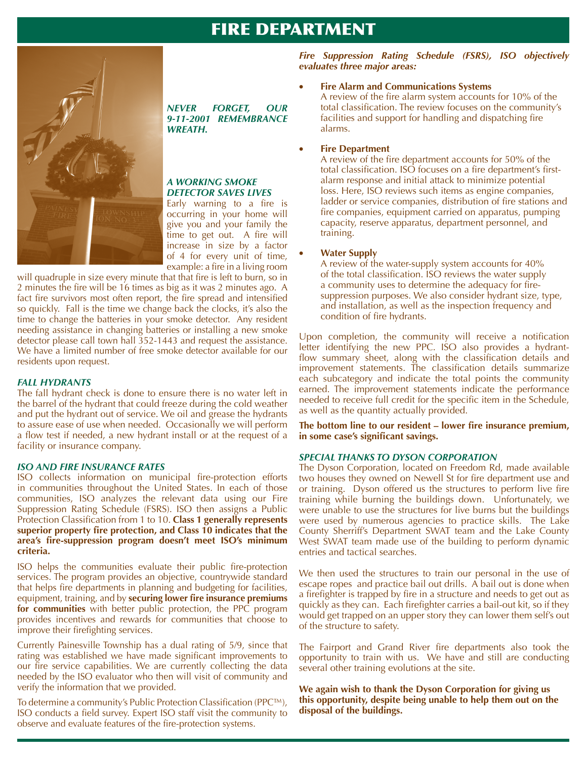## FIRE DEPARTMENT



### *NEVER FORGET, OUR 9-11-2001 REMEMBRANCE WREATH.*

#### *A WORKING SMOKE DETECTOR SAVES LIVES*

Early warning to a fire is occurring in your home will give you and your family the  $time$  to get out. A fire will increase in size by a factor of 4 for every unit of time, example: a fire in a living room

will quadruple in size every minute that that fire is left to burn, so in 2 minutes the fire will be 16 times as big as it was 2 minutes ago. A fact fire survivors most often report, the fire spread and intensified so quickly. Fall is the time we change back the clocks, it's also the time to change the batteries in your smoke detector. Any resident needing assistance in changing batteries or installing a new smoke detector please call town hall 352-1443 and request the assistance. We have a limited number of free smoke detector available for our residents upon request.

### *FALL HYDRANTS*

The fall hydrant check is done to ensure there is no water left in the barrel of the hydrant that could freeze during the cold weather and put the hydrant out of service. We oil and grease the hydrants to assure ease of use when needed. Occasionally we will perform a flow test if needed, a new hydrant install or at the request of a facility or insurance company.

### *ISO AND FIRE INSURANCE RATES*

ISO collects information on municipal fire-protection efforts in communities throughout the United States. In each of those communities, ISO analyzes the relevant data using our Fire Suppression Rating Schedule (FSRS). ISO then assigns a Public Protection Classification from 1 to 10. Class 1 generally represents superior property fire protection, and Class 10 indicates that the area's fire-suppression program doesn't meet ISO's minimum criteria.

ISO helps the communities evaluate their public fire-protection services. The program provides an objective, countrywide standard that helps fire departments in planning and budgeting for facilities, equipment, training, and by **securing lower fire insurance premiums** for communities with better public protection, the PPC program provides incentives and rewards for communities that choose to improve their firefighting services.

Currently Painesville Township has a dual rating of 5/9, since that rating was established we have made significant improvements to our fire service capabilities. We are currently collecting the data needed by the ISO evaluator who then will visit of community and verify the information that we provided.

To determine a community's Public Protection Classification (PPC<sup>TM</sup>), ISO conducts a field survey. Expert ISO staff visit the community to observe and evaluate features of the fire-protection systems.

*Fire Suppression Rating Schedule (FSRS), ISO objectively evaluates three major areas:* 

### **Fire Alarm and Communications Systems**

A review of the fire alarm system accounts for 10% of the total classification. The review focuses on the community's facilities and support for handling and dispatching fire alarms.

### • **Fire Department**

A review of the fire department accounts for 50% of the total classification. ISO focuses on a fire department's firstalarm response and initial attack to minimize potential loss. Here, ISO reviews such items as engine companies, ladder or service companies, distribution of fire stations and fire companies, equipment carried on apparatus, pumping capacity, reserve apparatus, department personnel, and training.

### **Water Supply**

A review of the water-supply system accounts for 40% of the total classification. ISO reviews the water supply a community uses to determine the adequacy for firesuppression purposes. We also consider hydrant size, type, and installation, as well as the inspection frequency and condition of fire hydrants.

Upon completion, the community will receive a notification letter identifying the new PPC. ISO also provides a hydrantflow summary sheet, along with the classification details and improvement statements. The classification details summarize each subcategory and indicate the total points the community earned. The improvement statements indicate the performance needed to receive full credit for the specific item in the Schedule, as well as the quantity actually provided.

The bottom line to our resident - lower fire insurance premium, in some case's significant savings.

### *SPECIAL THANKS TO DYSON CORPORATION*

The Dyson Corporation, located on Freedom Rd, made available two houses they owned on Newell St for fire department use and or training. Dyson offered us the structures to perform live fire training while burning the buildings down. Unfortunately, we were unable to use the structures for live burns but the buildings were used by numerous agencies to practice skills. The Lake County Sherriff's Department SWAT team and the Lake County West SWAT team made use of the building to perform dynamic entries and tactical searches.

We then used the structures to train our personal in the use of escape ropes and practice bail out drills. A bail out is done when a firefighter is trapped by fire in a structure and needs to get out as quickly as they can. Each firefighter carries a bail-out kit, so if they would get trapped on an upper story they can lower them self's out of the structure to safety.

The Fairport and Grand River fire departments also took the opportunity to train with us. We have and still are conducting several other training evolutions at the site.

**We again wish to thank the Dyson Corporation for giving us**  this opportunity, despite being unable to help them out on the disposal of the buildings.